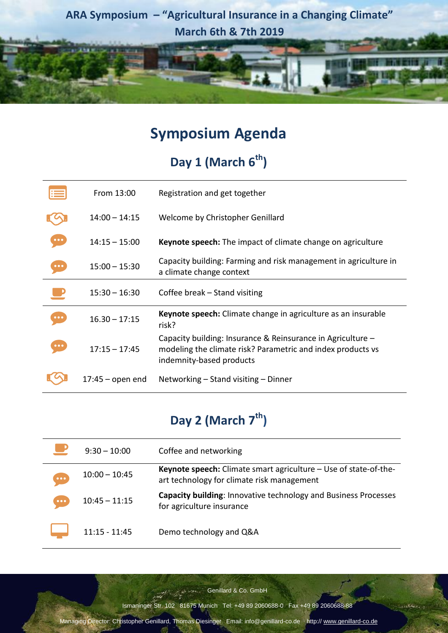**ARA Symposium – "Agricultural Insurance in a Changing Climate" March 6th & 7th 2019**

retr

### **Symposium Agenda**

# **Day 1 (March 6th)**

|                         | From 13:00         | Registration and get together                                                                                                                          |
|-------------------------|--------------------|--------------------------------------------------------------------------------------------------------------------------------------------------------|
|                         | $14:00 - 14:15$    | Welcome by Christopher Genillard                                                                                                                       |
|                         | $14:15 - 15:00$    | <b>Keynote speech:</b> The impact of climate change on agriculture                                                                                     |
| $\bullet\bullet\bullet$ | $15:00 - 15:30$    | Capacity building: Farming and risk management in agriculture in<br>a climate change context                                                           |
|                         | $15:30 - 16:30$    | Coffee break – Stand visiting                                                                                                                          |
|                         | $16.30 - 17:15$    | Keynote speech: Climate change in agriculture as an insurable<br>risk?                                                                                 |
| $\bullet\bullet\bullet$ | $17:15 - 17:45$    | Capacity building: Insurance & Reinsurance in Agriculture -<br>modeling the climate risk? Parametric and index products vs<br>indemnity-based products |
|                         | $17:45 -$ open end | Networking – Stand visiting – Dinner                                                                                                                   |

## **Day 2 (March 7th)**

|                         | $9:30 - 10:00$  | Coffee and networking                                                                                                 |
|-------------------------|-----------------|-----------------------------------------------------------------------------------------------------------------------|
| $\bullet\bullet\bullet$ | $10:00 - 10:45$ | <b>Keynote speech:</b> Climate smart agriculture – Use of state-of-the-<br>art technology for climate risk management |
| $\bullet\bullet\bullet$ | $10:45 - 11:15$ | Capacity building: Innovative technology and Business Processes<br>for agriculture insurance                          |
|                         | $11:15 - 11:45$ | Demo technology and Q&A                                                                                               |

Genillard & Co. GmbH

Ismaninger Str. 102 81675 Munich Tel: +49 89 2060688-0 Fax +49 89 2060688-88

Managing Director: Christopher Genillard, Thomas Diesinger Email: info@genillard-co.de · http:// [www.genillard-co.de](http://www.genillard-co.de/)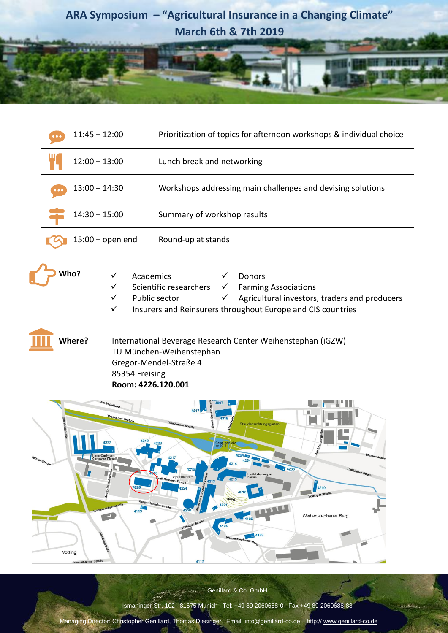

retr

|  | $11:45 - 12:00$       |                                                                                                                | Prioritization of topics for afternoon workshops & individual choice                                                                                                                                                                                                                                                                                                                                                  |
|--|-----------------------|----------------------------------------------------------------------------------------------------------------|-----------------------------------------------------------------------------------------------------------------------------------------------------------------------------------------------------------------------------------------------------------------------------------------------------------------------------------------------------------------------------------------------------------------------|
|  | $12:00 - 13:00$       |                                                                                                                | Lunch break and networking                                                                                                                                                                                                                                                                                                                                                                                            |
|  | $13:00 - 14:30$       |                                                                                                                | Workshops addressing main challenges and devising solutions                                                                                                                                                                                                                                                                                                                                                           |
|  | $14:30 - 15:00$       |                                                                                                                | Summary of workshop results                                                                                                                                                                                                                                                                                                                                                                                           |
|  | $15:00$ – open end    |                                                                                                                | Round-up at stands                                                                                                                                                                                                                                                                                                                                                                                                    |
|  | Who?<br><b>Where?</b> | Academics<br>✓<br>✓<br>✓<br>✓<br>85354 Freising<br>Room: 4226.120.001                                          | Donors<br>Scientific researchers<br><b>Farming Associations</b><br>$\checkmark$<br>Public sector<br>Agricultural investors, traders and producers<br>✓<br>Insurers and Reinsurers throughout Europe and CIS countries<br>International Beverage Research Center Weihenstephan (iGZW)<br>TU München-Weihenstephan<br>Gregor-Mendel-Straße 4                                                                            |
|  |                       | m Vogelherd<br>Thalhauser Graben<br>Georg-Dätzel-Straße<br>4226<br>Hohenbachernstraße<br>4119<br>$\rightarrow$ | 4317<br>alhauser Straß<br>Staudensichtungsgarten<br>Cam <mark>pusbr</mark><br>ab 2018<br>264<br>Blumenstraf<br>4217<br>4216<br>2/4238<br>Thalhauser Straße<br>4818<br>Emil-Erlenmeyer-<br><b>C</b> 4213<br>Sportflächen<br>Forum<br><b>Emil-Ramann-Straße</b><br>4215<br>4210<br>4224<br>Vöttinger Straße<br>Rang<br>Gregor-Mendel-Straße<br>4221<br>4220<br>Weihenstephaner Berg<br>4126<br>Vöttinger Straße<br>4124 |

Genillard & Co. GmbH

Ismaninger Str. 102 81675 Munich Tel: +49 89 2060688-0 Fax +49 89 2060688-88

Managing Director: Christopher Genillard, Thomas Diesinger Email: info@genillard-co.de · http:// [www.genillard-co.de](http://www.genillard-co.de/)

Vötting